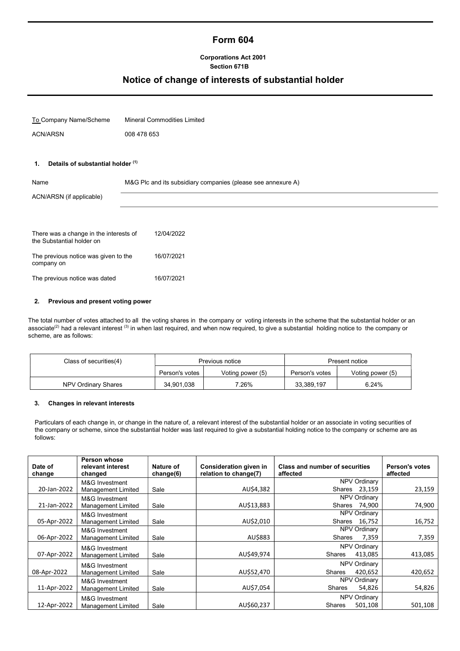# Form 604

### Corporations Act 2001 Section 671B

# Notice of change of interests of substantial holder

To Company Name/Scheme Mineral Commodities Limited ACN/ARSN 008 478 653

#### 1. Details of substantial holder (1)

| Name<br>ACN/ARSN (if applicable)                                    | M&G Plc and its subsidiary companies (please see annexure A) |
|---------------------------------------------------------------------|--------------------------------------------------------------|
| There was a change in the interests of<br>the Substantial holder on | 12/04/2022                                                   |
| The previous notice was given to the<br>company on                  | 16/07/2021                                                   |
| The previous notice was dated                                       | 16/07/2021                                                   |

#### 2. Previous and present voting power

The total number of votes attached to all the voting shares in the company or voting interests in the scheme that the substantial holder or an associate<sup>(2)</sup> had a relevant interest (3) in when last required, and when now required, to give a substantial holding notice to the company or scheme, are as follows:

| Class of securities(4) | Previous notice |                  | Present notice |                  |
|------------------------|-----------------|------------------|----------------|------------------|
|                        | Person's votes  | Voting power (5) | Person's votes | Voting power (5) |
| NPV Ordinary Shares    | 34,901,038      | 7.26%            | 33,389,197     | 6.24%            |

#### 3. Changes in relevant interests

Particulars of each change in, or change in the nature of, a relevant interest of the substantial holder or an associate in voting securities of the company or scheme, since the substantial holder was last required to give a substantial holding notice to the company or scheme are as follows:

| Date of<br>change | Person whose<br>relevant interest<br>changed | Nature of<br>change(6) | Consideration given in<br>relation to change(7) | <b>Class and number of securities</b><br>affected | <b>Person's votes</b><br>affected |
|-------------------|----------------------------------------------|------------------------|-------------------------------------------------|---------------------------------------------------|-----------------------------------|
| 20-Jan-2022       | M&G Investment<br>Management Limited         | Sale                   | AU\$4,382                                       | <b>NPV Ordinary</b><br>Shares<br>23,159           | 23,159                            |
| 21-Jan-2022       | M&G Investment<br>Management Limited         | Sale                   | AU\$13,883                                      | <b>NPV Ordinary</b><br>Shares<br>74,900           | 74,900                            |
| 05-Apr-2022       | M&G Investment<br>Management Limited         | Sale                   | AU\$2,010                                       | <b>NPV Ordinary</b><br>Shares<br>16,752           | 16,752                            |
| 06-Apr-2022       | M&G Investment<br>Management Limited         | Sale                   | AU\$883                                         | <b>NPV Ordinary</b><br>Shares<br>7,359            | 7,359                             |
| 07-Apr-2022       | M&G Investment<br>Management Limited         | Sale                   | AU\$49,974                                      | <b>NPV Ordinary</b><br><b>Shares</b><br>413,085   | 413,085                           |
| 08-Apr-2022       | M&G Investment<br>Management Limited         | Sale                   | AU\$52,470                                      | NPV Ordinary<br><b>Shares</b><br>420,652          | 420,652                           |
| 11-Apr-2022       | M&G Investment<br>Management Limited         | Sale                   | AU\$7,054                                       | NPV Ordinary<br><b>Shares</b><br>54,826           | 54,826                            |
| 12-Apr-2022       | M&G Investment<br>Management Limited         | Sale                   | AU\$60,237                                      | NPV Ordinary<br><b>Shares</b><br>501,108          | 501,108                           |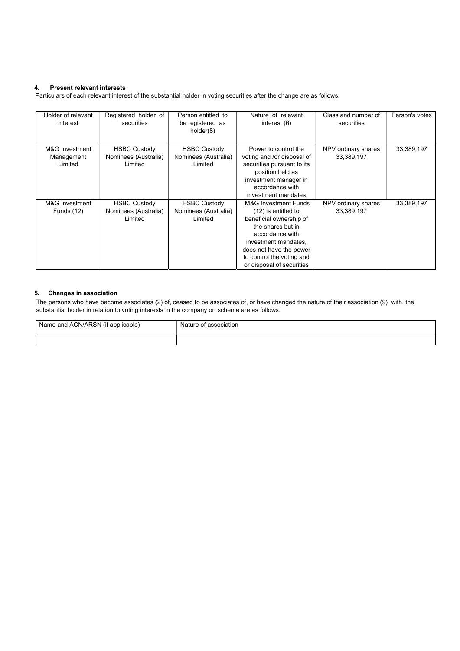### 4. Present relevant interests

Particulars of each relevant interest of the substantial holder in voting securities after the change are as follows:

| Holder of relevant<br>interest          | Registered holder of<br>securities                     | Person entitled to<br>be registered as<br>holder(8)    | Nature of relevant<br>interest (6)                                                                                                                                                                                          | Class and number of<br>securities | Person's votes |
|-----------------------------------------|--------------------------------------------------------|--------------------------------------------------------|-----------------------------------------------------------------------------------------------------------------------------------------------------------------------------------------------------------------------------|-----------------------------------|----------------|
| M&G Investment<br>Management<br>Limited | <b>HSBC Custody</b><br>Nominees (Australia)<br>Limited | <b>HSBC Custody</b><br>Nominees (Australia)<br>Limited | Power to control the<br>voting and /or disposal of<br>securities pursuant to its<br>position held as<br>investment manager in<br>accordance with<br>investment mandates                                                     | NPV ordinary shares<br>33,389,197 | 33,389,197     |
| M&G Investment<br>Funds (12)            | <b>HSBC Custody</b><br>Nominees (Australia)<br>Limited | <b>HSBC Custody</b><br>Nominees (Australia)<br>Limited | M&G Investment Funds<br>(12) is entitled to<br>beneficial ownership of<br>the shares but in<br>accordance with<br>investment mandates,<br>does not have the power<br>to control the voting and<br>or disposal of securities | NPV ordinary shares<br>33,389,197 | 33,389,197     |

#### 5. Changes in association

The persons who have become associates (2) of, ceased to be associates of, or have changed the nature of their association (9) with, the substantial holder in relation to voting interests in the company or scheme are as follows:

| <sup>1</sup> Name and ACN/ARSN (if applicable) | Nature of association |
|------------------------------------------------|-----------------------|
|                                                |                       |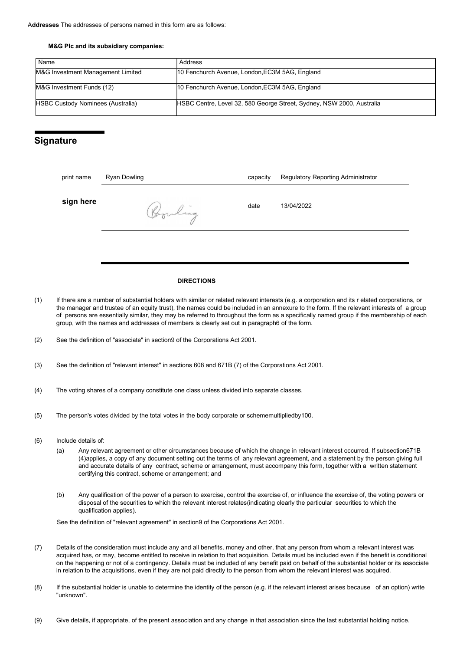#### M&G Plc and its subsidiary companies:

| Name                                     | Address                                                               |
|------------------------------------------|-----------------------------------------------------------------------|
| M&G Investment Management Limited        | 10 Fenchurch Avenue, London, EC3M 5AG, England                        |
| M&G Investment Funds (12)                | 10 Fenchurch Avenue, London, EC3M 5AG, England                        |
| <b>HSBC Custody Nominees (Australia)</b> | HSBC Centre, Level 32, 580 George Street, Sydney, NSW 2000, Australia |

### **Signature**

| print name | Ryan Dowling | capacity | <b>Regulatory Reporting Administrator</b> |
|------------|--------------|----------|-------------------------------------------|
| sign here  | Ponling      | date     | 13/04/2022                                |
|            |              |          |                                           |

#### DIRECTIONS

- (1) If there are a number of substantial holders with similar or related relevant interests (e.g. a corporation and its r elated corporations, or the manager and trustee of an equity trust), the names could be included in an annexure to the form. If the relevant interests of a group of persons are essentially similar, they may be referred to throughout the form as a specifically named group if the membership of each group, with the names and addresses of members is clearly set out in paragraph6 of the form.
- (2) See the definition of "associate" in section9 of the Corporations Act 2001.
- (3) See the definition of "relevant interest" in sections 608 and 671B (7) of the Corporations Act 2001.
- (4) The voting shares of a company constitute one class unless divided into separate classes.
- (5) The person's votes divided by the total votes in the body corporate or schememultipliedby100.
- (6) Include details of:
	- (a) Any relevant agreement or other circumstances because of which the change in relevant interest occurred. If subsection671B (4)applies, a copy of any document setting out the terms of any relevant agreement, and a statement by the person giving full and accurate details of any contract, scheme or arrangement, must accompany this form, together with a written statement certifying this contract, scheme or arrangement; and
	- (b) Any qualification of the power of a person to exercise, control the exercise of, or influence the exercise of, the voting powers or disposal of the securities to which the relevant interest relates(indicating clearly the particular securities to which the qualification applies).

See the definition of "relevant agreement" in section9 of the Corporations Act 2001.

- (7) Details of the consideration must include any and all benefits, money and other, that any person from whom a relevant interest was acquired has, or may, become entitled to receive in relation to that acquisition. Details must be included even if the benefit is conditional on the happening or not of a contingency. Details must be included of any benefit paid on behalf of the substantial holder or its associate in relation to the acquisitions, even if they are not paid directly to the person from whom the relevant interest was acquired.
- (8) If the substantial holder is unable to determine the identity of the person (e.g. if the relevant interest arises because of an option) write "unknown".
- (9) Give details, if appropriate, of the present association and any change in that association since the last substantial holding notice.